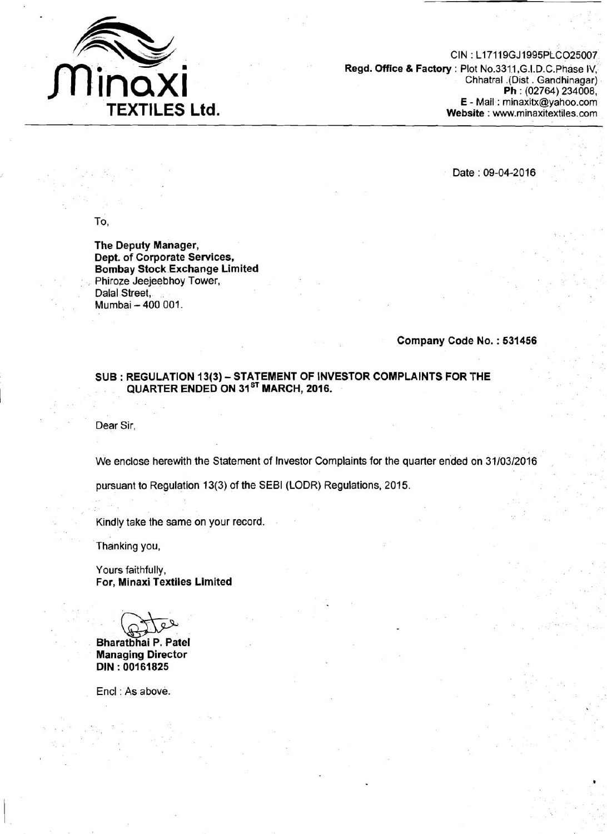

CIN : L17119GJ1995PLC025007 **Regd. Office** *8* **Factory** : Plot No.3311 ,G.I.D.C.Phase IV, Chhatral .(Dist . Gandhinagar) **Ph** : (02764) 234008, **E** - Mail : minaxitx@yahoo.com **Website** : www.minaxitextiles.com

Date : 09-04-2016

To,

**The Deputy Manager, Dept. of Corporate Services, Bombay Stock Exchange Limited**  Phiroze Jeejeebhoy Tower, Dalal Street, Mumbai - 400 001.

## **Company Code No.** : **<sup>531456</sup>**

## **SUB** : **REGULATION 13(3)** - **STATEMENT OF INVESTOR COMPLAINTS FOR 'THE 1** QUARTER ENDED ON 31<sup>st</sup> MARCH, 2016.

Dear Sir,

We enclose herewith the Statement of Investor Complaints for the quarter ended on 31/03/2016

pursuant to Regulation 13(3) of the SEBI (LODR) Regulations, 2015.

Kindly take the same on your record.

Thanking you,

Yours faithfully, **For, Minaxi Textiles Limited** 

**Bharatbhai P. Patel<br>
Bharatbhai P. Patel<br>
Menorius Director** 

**Managing Director DIN** : **<sup>00161825</sup>**

Encl : As above.